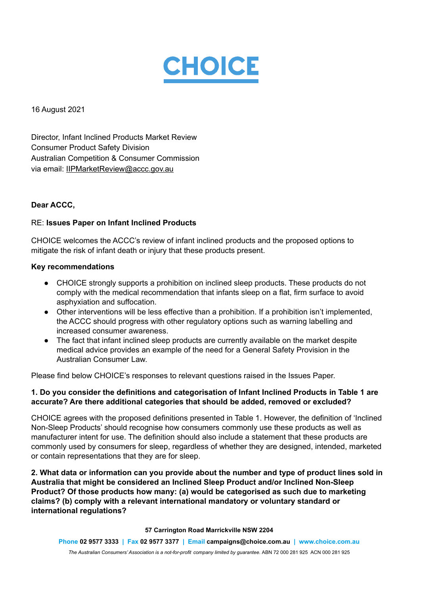

16 August 2021

Director, Infant Inclined Products Market Review Consumer Product Safety Division Australian Competition & Consumer Commission via email: IIPMarketReview@accc.gov.au

#### **Dear ACCC,**

#### RE: **Issues Paper on Infant Inclined Products**

CHOICE welcomes the ACCC's review of infant inclined products and the proposed options to mitigate the risk of infant death or injury that these products present.

#### **Key recommendations**

- CHOICE strongly supports a prohibition on inclined sleep products. These products do not comply with the medical recommendation that infants sleep on a flat, firm surface to avoid asphyxiation and suffocation.
- Other interventions will be less effective than a prohibition. If a prohibition isn't implemented, the ACCC should progress with other regulatory options such as warning labelling and increased consumer awareness.
- The fact that infant inclined sleep products are currently available on the market despite medical advice provides an example of the need for a General Safety Provision in the Australian Consumer Law.

Please find below CHOICE's responses to relevant questions raised in the Issues Paper.

# **1. Do you consider the definitions and categorisation of Infant Inclined Products in Table 1 are accurate? Are there additional categories that should be added, removed or excluded?**

CHOICE agrees with the proposed definitions presented in Table 1. However, the definition of 'Inclined Non-Sleep Products' should recognise how consumers commonly use these products as well as manufacturer intent for use. The definition should also include a statement that these products are commonly used by consumers for sleep, regardless of whether they are designed, intended, marketed or contain representations that they are for sleep.

**2. What data or information can you provide about the number and type of product lines sold in Australia that might be considered an Inclined Sleep Product and/or Inclined Non-Sleep Product? Of those products how many: (a) would be categorised as such due to marketing claims? (b) comply with a relevant international mandatory or voluntary standard or international regulations?**

**57 Carrington Road Marrickville NSW 2204**

**Phone 02 9577 3333 | Fax 02 9577 3377 | Email campaigns@choice.com.au | www.choice.com.au** *The Australian Consumers' Association is a not-for-profit company limited by guarantee.* ABN 72 000 281 925 ACN 000 281 925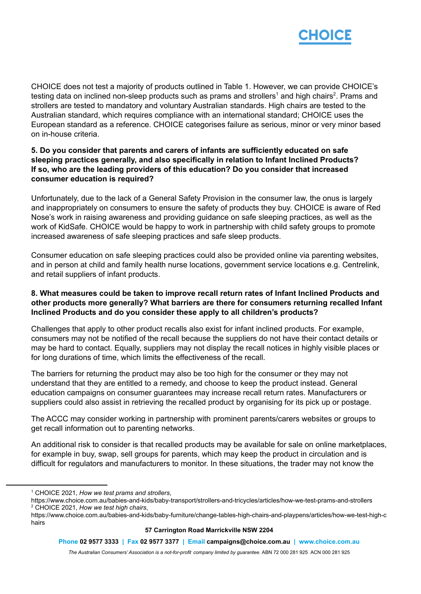

CHOICE does not test a majority of products outlined in Table 1. However, we can provide CHOICE's testing data on inclined non-sleep products such as prams and strollers<sup>1</sup> and high chairs<sup>2</sup>. Prams and strollers are tested to mandatory and voluntary Australian standards. High chairs are tested to the Australian standard, which requires compliance with an international standard; CHOICE uses the European standard as a reference. CHOICE categorises failure as serious, minor or very minor based on in-house criteria.

# **5. Do you consider that parents and carers of infants are sufficiently educated on safe sleeping practices generally, and also specifically in relation to Infant Inclined Products? If so, who are the leading providers of this education? Do you consider that increased consumer education is required?**

Unfortunately, due to the lack of a General Safety Provision in the consumer law, the onus is largely and inappropriately on consumers to ensure the safety of products they buy. CHOICE is aware of Red Nose's work in raising awareness and providing guidance on safe sleeping practices, as well as the work of KidSafe. CHOICE would be happy to work in partnership with child safety groups to promote increased awareness of safe sleeping practices and safe sleep products.

Consumer education on safe sleeping practices could also be provided online via parenting websites, and in person at child and family health nurse locations, government service locations e.g. Centrelink, and retail suppliers of infant products.

## **8. What measures could be taken to improve recall return rates of Infant Inclined Products and other products more generally? What barriers are there for consumers returning recalled Infant Inclined Products and do you consider these apply to all children's products?**

Challenges that apply to other product recalls also exist for infant inclined products. For example, consumers may not be notified of the recall because the suppliers do not have their contact details or may be hard to contact. Equally, suppliers may not display the recall notices in highly visible places or for long durations of time, which limits the effectiveness of the recall.

The barriers for returning the product may also be too high for the consumer or they may not understand that they are entitled to a remedy, and choose to keep the product instead. General education campaigns on consumer guarantees may increase recall return rates. Manufacturers or suppliers could also assist in retrieving the recalled product by organising for its pick up or postage.

The ACCC may consider working in partnership with prominent parents/carers websites or groups to get recall information out to parenting networks.

An additional risk to consider is that recalled products may be available for sale on online marketplaces, for example in buy, swap, sell groups for parents, which may keep the product in circulation and is difficult for regulators and manufacturers to monitor. In these situations, the trader may not know the

#### **57 Carrington Road Marrickville NSW 2204**

**Phone 02 9577 3333 | Fax 02 9577 3377 | Email campaigns@choice.com.au | www.choice.com.au**

*The Australian Consumers' Association is a not-for-profit company limited by guarantee.* ABN 72 000 281 925 ACN 000 281 925

<sup>1</sup> CHOICE 2021, *How we test prams and strollers*,

<sup>2</sup> CHOICE 2021, *How we test high chairs*, https://www.choice.com.au/babies-and-kids/baby-transport/strollers-and-tricycles/articles/how-we-test-prams-and-strollers

https://www.choice.com.au/babies-and-kids/baby-furniture/change-tables-high-chairs-and-playpens/articles/how-we-test-high-c hairs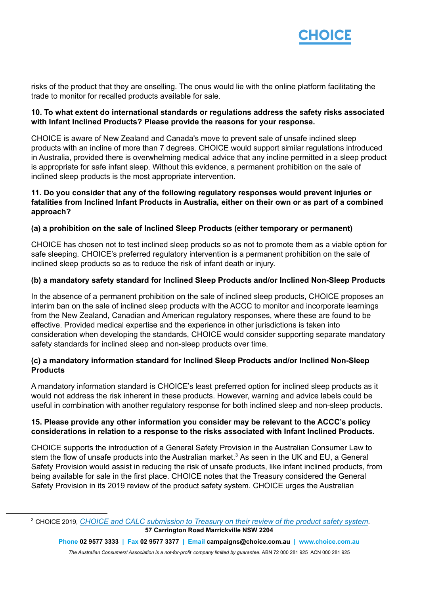

risks of the product that they are onselling. The onus would lie with the online platform facilitating the trade to monitor for recalled products available for sale.

## **10. To what extent do international standards or regulations address the safety risks associated with Infant Inclined Products? Please provide the reasons for your response.**

CHOICE is aware of New Zealand and Canada's move to prevent sale of unsafe inclined sleep products with an incline of more than 7 degrees. CHOICE would support similar regulations introduced in Australia, provided there is overwhelming medical advice that any incline permitted in a sleep product is appropriate for safe infant sleep. Without this evidence, a permanent prohibition on the sale of inclined sleep products is the most appropriate intervention.

## **11. Do you consider that any of the following regulatory responses would prevent injuries or fatalities from Inclined Infant Products in Australia, either on their own or as part of a combined approach?**

# **(a) a prohibition on the sale of Inclined Sleep Products (either temporary or permanent)**

CHOICE has chosen not to test inclined sleep products so as not to promote them as a viable option for safe sleeping. CHOICE's preferred regulatory intervention is a permanent prohibition on the sale of inclined sleep products so as to reduce the risk of infant death or injury.

# **(b) a mandatory safety standard for Inclined Sleep Products and/or Inclined Non-Sleep Products**

In the absence of a permanent prohibition on the sale of inclined sleep products, CHOICE proposes an interim ban on the sale of inclined sleep products with the ACCC to monitor and incorporate learnings from the New Zealand, Canadian and American regulatory responses, where these are found to be effective. Provided medical expertise and the experience in other jurisdictions is taken into consideration when developing the standards, CHOICE would consider supporting separate mandatory safety standards for inclined sleep and non-sleep products over time.

# **(c) a mandatory information standard for Inclined Sleep Products and/or Inclined Non-Sleep Products**

A mandatory information standard is CHOICE's least preferred option for inclined sleep products as it would not address the risk inherent in these products. However, warning and advice labels could be useful in combination with another regulatory response for both inclined sleep and non-sleep products.

# **15. Please provide any other information you consider may be relevant to the ACCC's policy considerations in relation to a response to the risks associated with Infant Inclined Products.**

CHOICE supports the introduction of a General Safety Provision in the Australian Consumer Law to stem the flow of unsafe products into the Australian market.<sup>3</sup> As seen in the UK and EU, a General Safety Provision would assist in reducing the risk of unsafe products, like infant inclined products, from being available for sale in the first place. CHOICE notes that the Treasury considered the General Safety Provision in its 2019 review of the product safety system. CHOICE urges the Australian

<sup>3</sup> CHOICE 2019, *[CHOICE and CALC submission to Treasury](https://www.choice.com.au/-/media/df52380f2b9c4e33a239eb82c1dd8216.ashx?la=en) on their review of the product safety system*. **57 Carrington Road Marrickville NSW 2204**